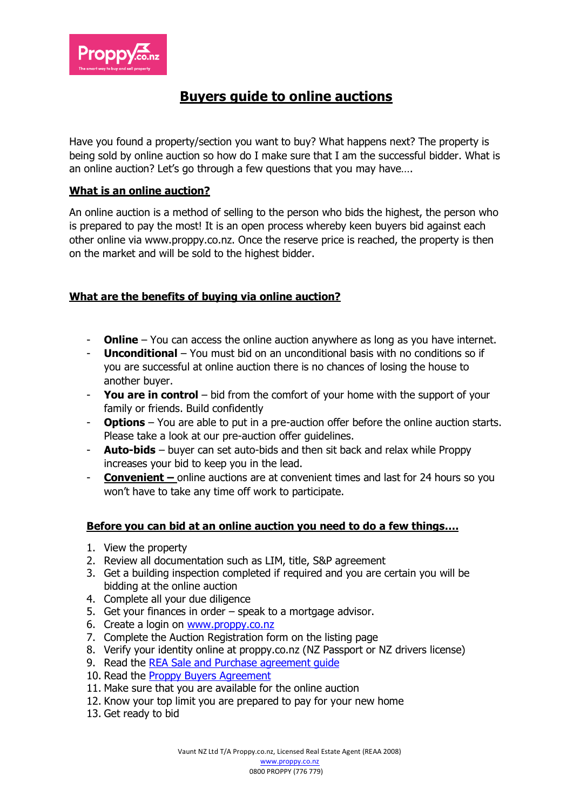

# **Buyers guide to online auctions**

Have you found a property/section you want to buy? What happens next? The property is being sold by online auction so how do I make sure that I am the successful bidder. What is an online auction? Let's go through a few questions that you may have….

# **What is an online auction?**

An online auction is a method of selling to the person who bids the highest, the person who is prepared to pay the most! It is an open process whereby keen buyers bid against each other online via www.proppy.co.nz. Once the reserve price is reached, the property is then on the market and will be sold to the highest bidder.

## **What are the benefits of buying via online auction?**

- **Online** You can access the online auction anywhere as long as you have internet.
- **Unconditional** You must bid on an unconditional basis with no conditions so if you are successful at online auction there is no chances of losing the house to another buyer.
- **You are in control**  bid from the comfort of your home with the support of your family or friends. Build confidently
- **Options**  You are able to put in a pre-auction offer before the online auction starts. Please take a look at our pre-auction offer guidelines.
- **Auto-bids** buyer can set auto-bids and then sit back and relax while Proppy increases your bid to keep you in the lead.
- **Convenient –** online auctions are at convenient times and last for 24 hours so you won't have to take any time off work to participate.

## **Before you can bid at an online auction you need to do a few things….**

- 1. View the property
- 2. Review all documentation such as LIM, title, S&P agreement
- 3. Get a building inspection completed if required and you are certain you will be bidding at the online auction
- 4. Complete all your due diligence
- 5. Get your finances in order speak to a mortgage advisor.
- 6. Create a login on [www.proppy.co.nz](http://www.proppy.co.nz/)
- 7. Complete the Auction Registration form on the listing page
- 8. Verify your identity online at proppy.co.nz (NZ Passport or NZ drivers license)
- 9. Read the [REA Sale and Purchase agreement guide](https://assets.ctfassets.net/mgifepkswz4c/628OC1AoW7srxn0lduV66S/77b2f07c9ae4efc5058c26675dc7ce1c/rea-residential-propery-sale-and-purchase-agreement-guide_settled.pdf)
- 10. Read the [Proppy Buyers Agreement](https://assets.ctfassets.net/mgifepkswz4c/6l21lQxYm9kwwpmteR0EQ/d59b95196ab0530cdc5a15951b2c120c/Proppy_Buyers_Agreement_2021.pdf)
- 11. Make sure that you are available for the online auction
- 12. Know your top limit you are prepared to pay for your new home
- 13. Get ready to bid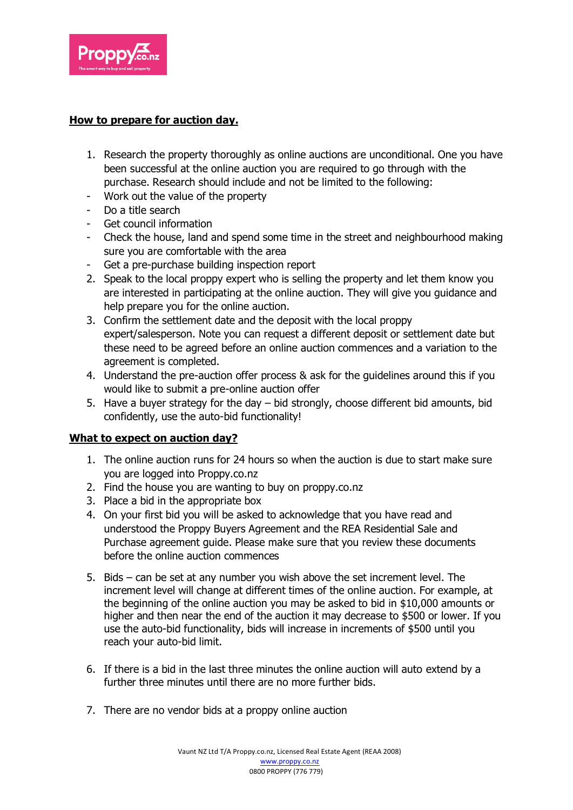

# **How to prepare for auction day.**

- 1. Research the property thoroughly as online auctions are unconditional. One you have been successful at the online auction you are required to go through with the purchase. Research should include and not be limited to the following:
- Work out the value of the property
- Do a title search
- Get council information
- Check the house, land and spend some time in the street and neighbourhood making sure you are comfortable with the area
- Get a pre-purchase building inspection report
- 2. Speak to the local proppy expert who is selling the property and let them know you are interested in participating at the online auction. They will give you guidance and help prepare you for the online auction.
- 3. Confirm the settlement date and the deposit with the local proppy expert/salesperson. Note you can request a different deposit or settlement date but these need to be agreed before an online auction commences and a variation to the agreement is completed.
- 4. Understand the pre-auction offer process & ask for the guidelines around this if you would like to submit a pre-online auction offer
- 5. Have a buyer strategy for the day bid strongly, choose different bid amounts, bid confidently, use the auto-bid functionality!

## **What to expect on auction day?**

- 1. The online auction runs for 24 hours so when the auction is due to start make sure you are logged into Proppy.co.nz
- 2. Find the house you are wanting to buy on proppy.co.nz
- 3. Place a bid in the appropriate box
- 4. On your first bid you will be asked to acknowledge that you have read and understood the Proppy Buyers Agreement and the REA Residential Sale and Purchase agreement guide. Please make sure that you review these documents before the online auction commences
- 5. Bids can be set at any number you wish above the set increment level. The increment level will change at different times of the online auction. For example, at the beginning of the online auction you may be asked to bid in \$10,000 amounts or higher and then near the end of the auction it may decrease to \$500 or lower. If you use the auto-bid functionality, bids will increase in increments of \$500 until you reach your auto-bid limit.
- 6. If there is a bid in the last three minutes the online auction will auto extend by a further three minutes until there are no more further bids.
- 7. There are no vendor bids at a proppy online auction